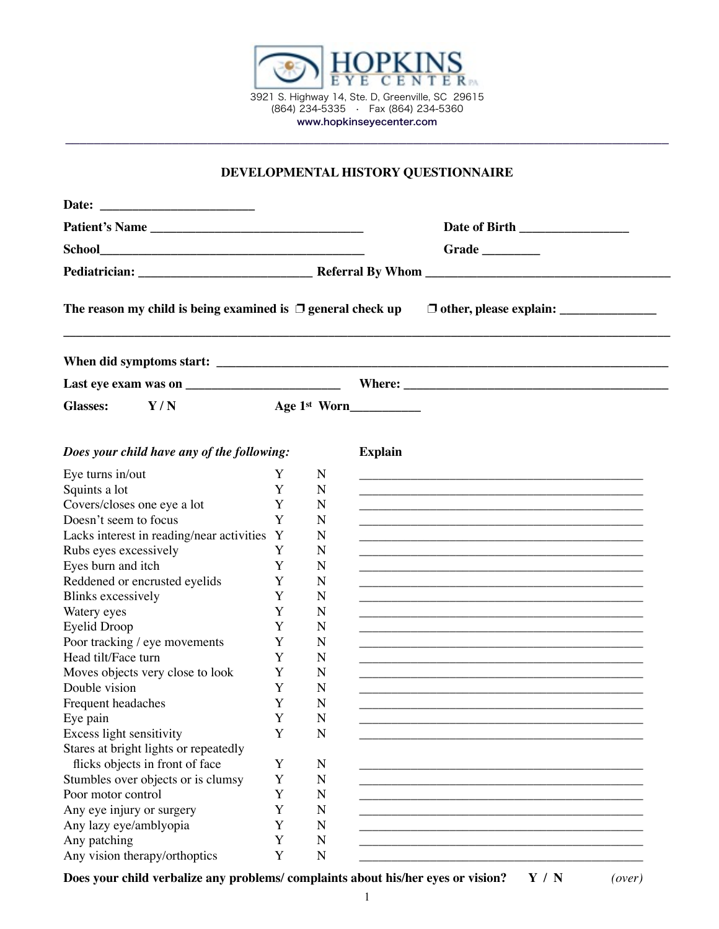

## **DEVELOPMENTAL HISTORY QUESTIONNAIRE**

| <b>School</b>                                                                             |  |
|-------------------------------------------------------------------------------------------|--|
|                                                                                           |  |
|                                                                                           |  |
|                                                                                           |  |
|                                                                                           |  |
|                                                                                           |  |
|                                                                                           |  |
| <b>Glasses:</b><br>Age 1st Worn<br>Y/N                                                    |  |
| <b>Explain</b><br>Does your child have any of the following:                              |  |
| Eye turns in/out<br>N<br>Y                                                                |  |
| Squints a lot<br>Y<br>N                                                                   |  |
| Covers/closes one eye a lot<br>N<br>Y                                                     |  |
| Doesn't seem to focus<br>Y<br>N                                                           |  |
| Lacks interest in reading/near activities Y<br>N                                          |  |
| Rubs eyes excessively<br>Y<br>N                                                           |  |
| Eyes burn and itch<br>Y<br>N                                                              |  |
| Reddened or encrusted eyelids<br>Y<br>N                                                   |  |
| <b>Blinks</b> excessively<br>Y<br>N                                                       |  |
| Watery eyes<br>Y<br>N                                                                     |  |
| <b>Eyelid Droop</b><br>Y<br>N                                                             |  |
| Poor tracking / eye movements<br>Y<br>N                                                   |  |
| Head tilt/Face turn<br>Y<br>N                                                             |  |
| Moves objects very close to look<br>Y<br>N                                                |  |
| Double vision<br>N<br>Y                                                                   |  |
| Frequent headaches<br>N<br>Y                                                              |  |
| Y<br>Eye pain<br>N                                                                        |  |
| Excess light sensitivity<br>Y<br>N                                                        |  |
| Stares at bright lights or repeatedly                                                     |  |
| flicks objects in front of face<br>Y<br>N<br>Stumbles over objects or is clumsy<br>Y<br>N |  |
| Poor motor control<br>Y<br>N                                                              |  |
| Any eye injury or surgery<br>Y<br>N                                                       |  |
| Any lazy eye/amblyopia<br>Y<br>N                                                          |  |
| Any patching<br>Y<br>N                                                                    |  |
| Any vision therapy/orthoptics<br>Y<br>$\mathbf N$                                         |  |

**Does your child verbalize any problems/ complaints about his/her eyes or vision? Y / N** *(over)*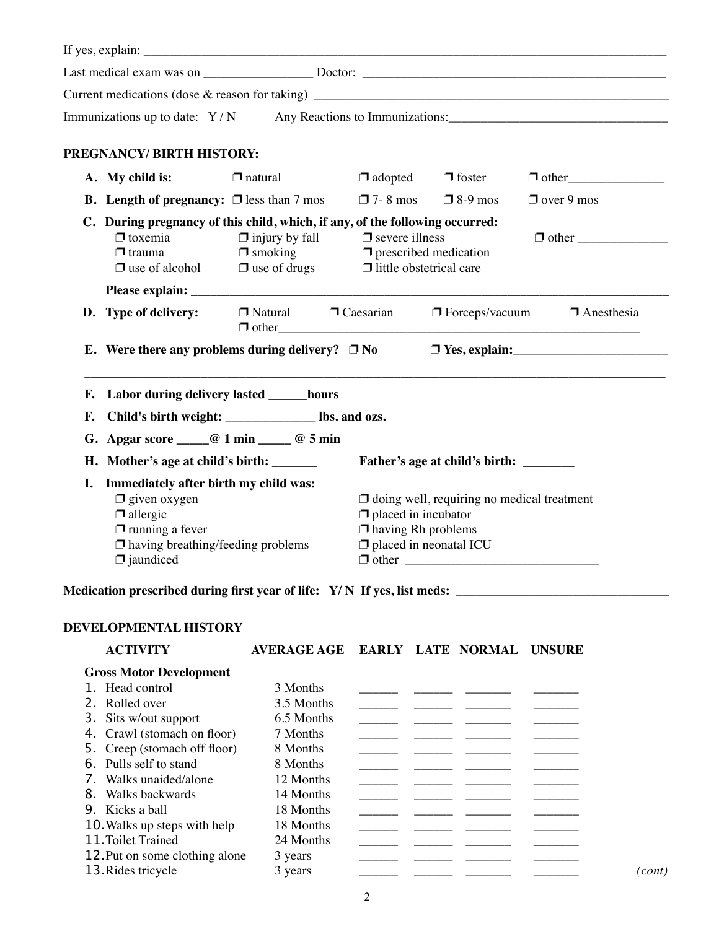|                                                                                                                                                                                 | Immunizations up to date: Y/N Any Reactions to Immunizations:                                                                                                                  |                                                                                                               |                                                                                                                                        |  |                                        |                   |                   |  |
|---------------------------------------------------------------------------------------------------------------------------------------------------------------------------------|--------------------------------------------------------------------------------------------------------------------------------------------------------------------------------|---------------------------------------------------------------------------------------------------------------|----------------------------------------------------------------------------------------------------------------------------------------|--|----------------------------------------|-------------------|-------------------|--|
|                                                                                                                                                                                 | PREGNANCY/ BIRTH HISTORY:                                                                                                                                                      |                                                                                                               |                                                                                                                                        |  |                                        |                   |                   |  |
|                                                                                                                                                                                 | A. My child is:                                                                                                                                                                | $\Box$ natural                                                                                                |                                                                                                                                        |  | $\Box$ adopted $\Box$ foster           | $\Box$ other      |                   |  |
|                                                                                                                                                                                 | <b>B.</b> Length of pregnancy: $\Box$ less than 7 mos                                                                                                                          |                                                                                                               | $\Box$ 7-8 mos $\Box$ 8-9 mos                                                                                                          |  |                                        | $\Box$ over 9 mos |                   |  |
|                                                                                                                                                                                 | C. During pregnancy of this child, which, if any, of the following occurred:<br>$\Box$ toxemia<br>$\Box$ smoking<br>$\Box$ trauma<br>$\Box$ use of alcohol $\Box$ use of drugs | $\Box$ injury by fall $\Box$ severe illness<br>$\Box$ prescribed medication<br>$\Box$ little obstetrical care |                                                                                                                                        |  | $\Box$ other                           |                   |                   |  |
|                                                                                                                                                                                 |                                                                                                                                                                                |                                                                                                               |                                                                                                                                        |  |                                        |                   |                   |  |
|                                                                                                                                                                                 | D. Type of delivery:                                                                                                                                                           | $\Box$ Natural $\Box$ Caesarian                                                                               |                                                                                                                                        |  | $\Box$ Forceps/vacuum                  |                   | $\Box$ Anesthesia |  |
|                                                                                                                                                                                 | E. Were there any problems during delivery? $\Box$ No                                                                                                                          |                                                                                                               |                                                                                                                                        |  |                                        |                   |                   |  |
| F.                                                                                                                                                                              | Labor during delivery lasted ______hours                                                                                                                                       |                                                                                                               |                                                                                                                                        |  |                                        |                   |                   |  |
| F.                                                                                                                                                                              | Child's birth weight: _____________________ lbs. and ozs.                                                                                                                      |                                                                                                               |                                                                                                                                        |  |                                        |                   |                   |  |
|                                                                                                                                                                                 |                                                                                                                                                                                |                                                                                                               |                                                                                                                                        |  |                                        |                   |                   |  |
|                                                                                                                                                                                 | G. Apgar score $\_\_@$ 1 min $\_\_@$ 5 min                                                                                                                                     |                                                                                                               |                                                                                                                                        |  |                                        |                   |                   |  |
|                                                                                                                                                                                 | H. Mother's age at child's birth: _______                                                                                                                                      |                                                                                                               |                                                                                                                                        |  | Father's age at child's birth: _______ |                   |                   |  |
| Immediately after birth my child was:<br>Ι.<br>$\Box$ given oxygen<br>$\Box$ allergic<br>$\Box$ running a fever<br>$\Box$ having breathing/feeding problems<br>$\Box$ jaundiced |                                                                                                                                                                                |                                                                                                               | $\Box$ doing well, requiring no medical treatment<br>$\Box$ placed in incubator<br>$\Box$ having Rh problems<br>placed in neonatal ICU |  |                                        |                   |                   |  |
|                                                                                                                                                                                 | Medication prescribed during first year of life: Y/N If yes, list meds:                                                                                                        |                                                                                                               |                                                                                                                                        |  |                                        |                   |                   |  |
|                                                                                                                                                                                 | <b>DEVELOPMENTAL HISTORY</b>                                                                                                                                                   |                                                                                                               |                                                                                                                                        |  |                                        |                   |                   |  |
|                                                                                                                                                                                 | <b>ACTIVITY</b>                                                                                                                                                                | <b>AVERAGE AGE</b>                                                                                            |                                                                                                                                        |  | EARLY LATE NORMAL UNSURE               |                   |                   |  |
|                                                                                                                                                                                 | <b>Gross Motor Development</b>                                                                                                                                                 |                                                                                                               |                                                                                                                                        |  |                                        |                   |                   |  |
|                                                                                                                                                                                 | 1. Head control                                                                                                                                                                | 3 Months                                                                                                      |                                                                                                                                        |  |                                        |                   |                   |  |
|                                                                                                                                                                                 | 2. Rolled over                                                                                                                                                                 | 3.5 Months                                                                                                    |                                                                                                                                        |  |                                        |                   |                   |  |
| 3.                                                                                                                                                                              | Sits w/out support                                                                                                                                                             | 6.5 Months                                                                                                    |                                                                                                                                        |  |                                        |                   |                   |  |
| 4.                                                                                                                                                                              | Crawl (stomach on floor)                                                                                                                                                       | 7 Months                                                                                                      |                                                                                                                                        |  |                                        |                   |                   |  |
| 5.                                                                                                                                                                              | Creep (stomach off floor)                                                                                                                                                      | 8 Months                                                                                                      |                                                                                                                                        |  |                                        |                   |                   |  |
| 6.                                                                                                                                                                              | Pulls self to stand                                                                                                                                                            | 8 Months                                                                                                      |                                                                                                                                        |  |                                        |                   |                   |  |
|                                                                                                                                                                                 | 7. Walks unaided/alone                                                                                                                                                         | 12 Months                                                                                                     |                                                                                                                                        |  |                                        |                   |                   |  |
|                                                                                                                                                                                 | 8. Walks backwards                                                                                                                                                             | 14 Months                                                                                                     |                                                                                                                                        |  |                                        |                   |                   |  |
|                                                                                                                                                                                 | 9. Kicks a ball                                                                                                                                                                | 18 Months                                                                                                     |                                                                                                                                        |  |                                        |                   |                   |  |
|                                                                                                                                                                                 | 10. Walks up steps with help                                                                                                                                                   | 18 Months                                                                                                     |                                                                                                                                        |  |                                        |                   |                   |  |
|                                                                                                                                                                                 | 11. Toilet Trained                                                                                                                                                             | 24 Months                                                                                                     |                                                                                                                                        |  |                                        |                   |                   |  |
|                                                                                                                                                                                 | 12. Put on some clothing alone                                                                                                                                                 | 3 years                                                                                                       |                                                                                                                                        |  |                                        |                   |                   |  |
|                                                                                                                                                                                 | 13. Rides tricycle                                                                                                                                                             | 3 years                                                                                                       |                                                                                                                                        |  |                                        |                   | (cont)            |  |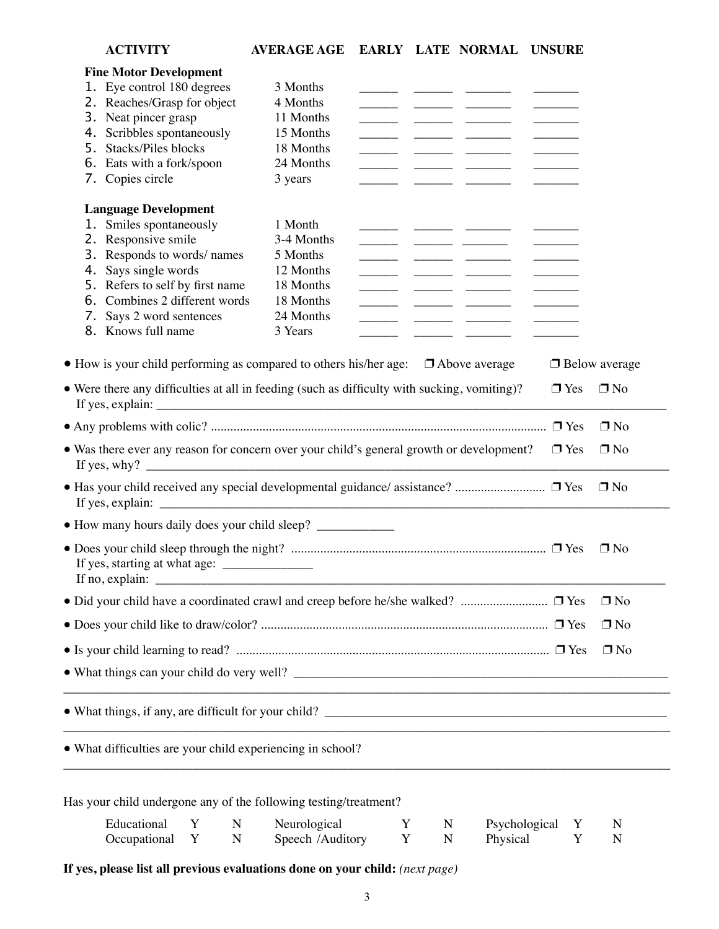|    | <b>ACTIVITY</b>                                                                                                          | <b>AVERAGE AGE</b>               |        |        | EARLY LATE NORMAL UNSURE                                                                                                                                                                                                                                                                                                                                                                                                                                                   |            |                      |
|----|--------------------------------------------------------------------------------------------------------------------------|----------------------------------|--------|--------|----------------------------------------------------------------------------------------------------------------------------------------------------------------------------------------------------------------------------------------------------------------------------------------------------------------------------------------------------------------------------------------------------------------------------------------------------------------------------|------------|----------------------|
|    | <b>Fine Motor Development</b>                                                                                            |                                  |        |        |                                                                                                                                                                                                                                                                                                                                                                                                                                                                            |            |                      |
|    | 1. Eye control 180 degrees                                                                                               | 3 Months                         |        |        |                                                                                                                                                                                                                                                                                                                                                                                                                                                                            |            |                      |
|    | 2. Reaches/Grasp for object                                                                                              | 4 Months                         |        |        |                                                                                                                                                                                                                                                                                                                                                                                                                                                                            |            |                      |
|    | 3. Neat pincer grasp                                                                                                     | 11 Months                        |        |        |                                                                                                                                                                                                                                                                                                                                                                                                                                                                            |            |                      |
|    | 4. Scribbles spontaneously                                                                                               | 15 Months                        |        |        | <u> Alexandro de Alexandro de Alexandro de Alexandro de Alexandro de Alexandro de Alexandro de Alexandro de Alexandro de Alexandro de Alexandro de Alexandro de Alexandro de Alexandro de Alexandro de Alexandro de Alexandro de</u>                                                                                                                                                                                                                                       |            |                      |
| 5. | Stacks/Piles blocks                                                                                                      | 18 Months                        |        |        |                                                                                                                                                                                                                                                                                                                                                                                                                                                                            |            |                      |
|    | 6. Eats with a fork/spoon                                                                                                | 24 Months                        |        |        | <u> ——————</u> —————————                                                                                                                                                                                                                                                                                                                                                                                                                                                   |            |                      |
|    | 7. Copies circle                                                                                                         | 3 years                          |        |        |                                                                                                                                                                                                                                                                                                                                                                                                                                                                            |            |                      |
|    | <b>Language Development</b>                                                                                              |                                  |        |        |                                                                                                                                                                                                                                                                                                                                                                                                                                                                            |            |                      |
|    | 1. Smiles spontaneously                                                                                                  | 1 Month                          |        |        |                                                                                                                                                                                                                                                                                                                                                                                                                                                                            |            |                      |
|    | 2. Responsive smile                                                                                                      | 3-4 Months                       |        |        |                                                                                                                                                                                                                                                                                                                                                                                                                                                                            |            |                      |
|    | 3. Responds to words/names                                                                                               | 5 Months                         |        |        | $\frac{1}{1} \left( \frac{1}{1} \right) \left( \frac{1}{1} \right) \left( \frac{1}{1} \right) \left( \frac{1}{1} \right) \left( \frac{1}{1} \right) \left( \frac{1}{1} \right) \left( \frac{1}{1} \right) \left( \frac{1}{1} \right) \left( \frac{1}{1} \right) \left( \frac{1}{1} \right) \left( \frac{1}{1} \right) \left( \frac{1}{1} \right) \left( \frac{1}{1} \right) \left( \frac{1}{1} \right) \left( \frac{1}{1} \right) \left( \frac{1}{1} \right) \left( \frac$ |            |                      |
|    | 4. Says single words                                                                                                     | 12 Months                        |        |        |                                                                                                                                                                                                                                                                                                                                                                                                                                                                            |            |                      |
|    | 5. Refers to self by first name                                                                                          | 18 Months                        |        |        |                                                                                                                                                                                                                                                                                                                                                                                                                                                                            |            |                      |
|    | 6. Combines 2 different words                                                                                            | 18 Months                        |        |        | <u> Albanya (Albanya Albanya)</u>                                                                                                                                                                                                                                                                                                                                                                                                                                          |            |                      |
|    | 7. Says 2 word sentences                                                                                                 | 24 Months                        |        |        |                                                                                                                                                                                                                                                                                                                                                                                                                                                                            |            |                      |
|    | 8. Knows full name                                                                                                       | 3 Years                          |        |        |                                                                                                                                                                                                                                                                                                                                                                                                                                                                            |            |                      |
|    | $\bullet$ How is your child performing as compared to others his/her age: $\Box$ Above average                           |                                  |        |        |                                                                                                                                                                                                                                                                                                                                                                                                                                                                            |            | $\Box$ Below average |
|    |                                                                                                                          |                                  |        |        |                                                                                                                                                                                                                                                                                                                                                                                                                                                                            |            |                      |
|    | • Were there any difficulties at all in feeding (such as difficulty with sucking, vomiting)?                             |                                  |        |        |                                                                                                                                                                                                                                                                                                                                                                                                                                                                            | $\Box$ Yes | $\Box$ No            |
|    |                                                                                                                          |                                  |        |        |                                                                                                                                                                                                                                                                                                                                                                                                                                                                            |            |                      |
|    |                                                                                                                          |                                  |        |        |                                                                                                                                                                                                                                                                                                                                                                                                                                                                            |            |                      |
|    |                                                                                                                          |                                  |        |        |                                                                                                                                                                                                                                                                                                                                                                                                                                                                            |            | $\Box$ No            |
|    | • Was there ever any reason for concern over your child's general growth or development?<br>If yes, why? $\qquad \qquad$ |                                  |        |        |                                                                                                                                                                                                                                                                                                                                                                                                                                                                            | $\Box$ Yes | $\Box$ No            |
|    | • Has your child received any special developmental guidance/ assistance?  □ Yes                                         |                                  |        |        |                                                                                                                                                                                                                                                                                                                                                                                                                                                                            |            | $\Box$ No            |
|    |                                                                                                                          |                                  |        |        |                                                                                                                                                                                                                                                                                                                                                                                                                                                                            |            |                      |
|    | If yes, starting at what age:                                                                                            |                                  |        |        |                                                                                                                                                                                                                                                                                                                                                                                                                                                                            |            | $\Box$ No            |
|    |                                                                                                                          |                                  |        |        |                                                                                                                                                                                                                                                                                                                                                                                                                                                                            |            | $\Box$ No            |
|    |                                                                                                                          |                                  |        |        |                                                                                                                                                                                                                                                                                                                                                                                                                                                                            |            | $\Box$ No            |
|    |                                                                                                                          |                                  |        |        |                                                                                                                                                                                                                                                                                                                                                                                                                                                                            |            |                      |
|    |                                                                                                                          |                                  |        |        |                                                                                                                                                                                                                                                                                                                                                                                                                                                                            |            | $\Box$ No            |
|    |                                                                                                                          |                                  |        |        |                                                                                                                                                                                                                                                                                                                                                                                                                                                                            |            |                      |
|    |                                                                                                                          |                                  |        |        | <u> 1989 - Johann Harry Harry Harry Harry Harry Harry Harry Harry Harry Harry Harry Harry Harry Harry Harry Harry</u>                                                                                                                                                                                                                                                                                                                                                      |            |                      |
|    | • What difficulties are your child experiencing in school?                                                               |                                  |        |        |                                                                                                                                                                                                                                                                                                                                                                                                                                                                            |            |                      |
|    |                                                                                                                          |                                  |        |        |                                                                                                                                                                                                                                                                                                                                                                                                                                                                            |            |                      |
|    | Has your child undergone any of the following testing/treatment?                                                         |                                  |        |        |                                                                                                                                                                                                                                                                                                                                                                                                                                                                            |            |                      |
|    | Educational<br>Y<br>$\mathbf N$<br>Occupational<br>Y<br>N                                                                | Neurological<br>Speech /Auditory | Y<br>Y | N<br>N | Psychological<br>Physical                                                                                                                                                                                                                                                                                                                                                                                                                                                  | Y<br>Y     | N<br>N               |